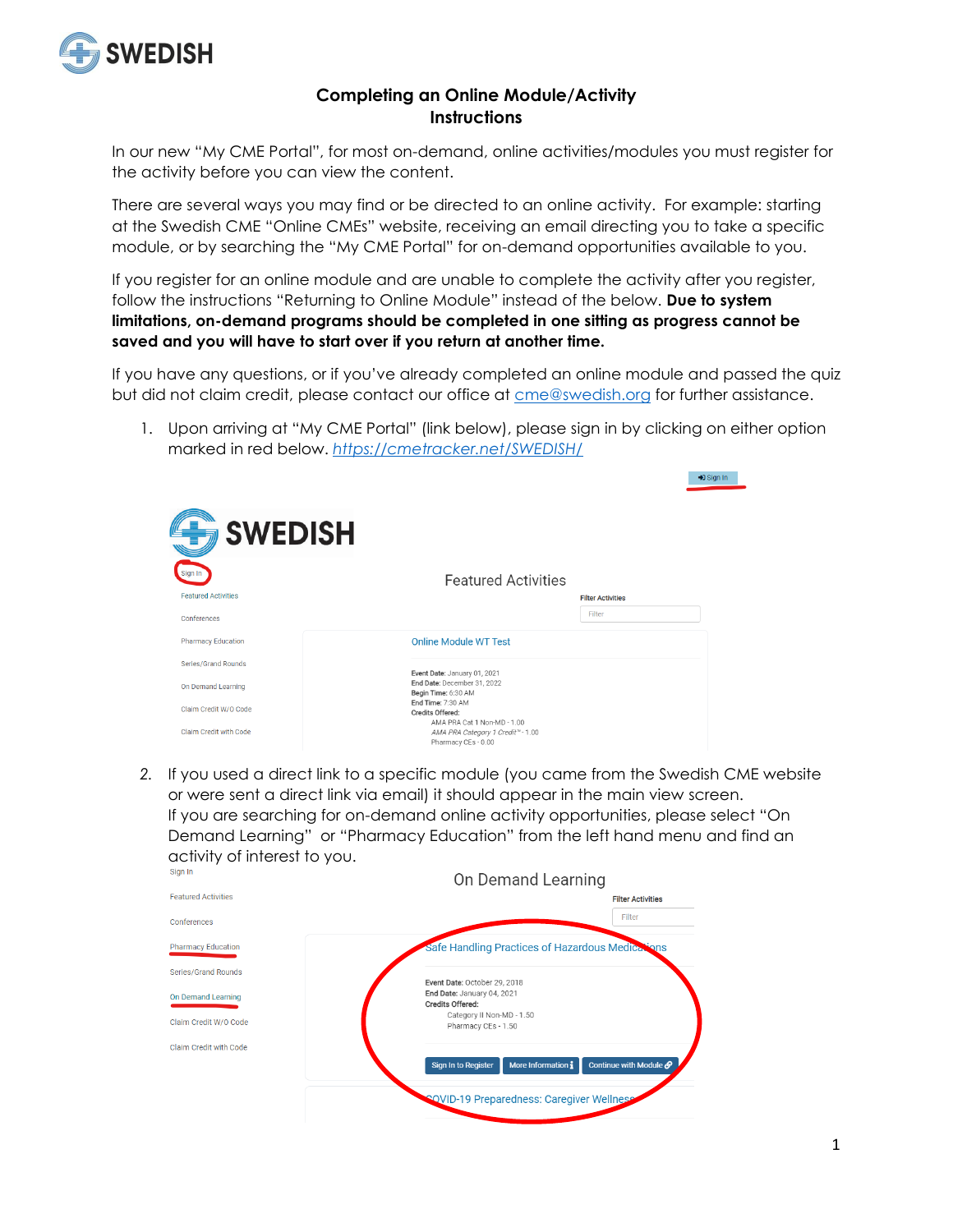

## **Completing an Online Module/Activity Instructions**

In our new "My CME Portal", for most on-demand, online activities/modules you must register for the activity before you can view the content.

There are several ways you may find or be directed to an online activity. For example: starting at the Swedish CME "Online CMEs" website, receiving an email directing you to take a specific module, or by searching the "My CME Portal" for on-demand opportunities available to you.

If you register for an online module and are unable to complete the activity after you register, follow the instructions "Returning to Online Module" instead of the below. **Due to system limitations, on-demand programs should be completed in one sitting as progress cannot be saved and you will have to start over if you return at another time.**

If you have any questions, or if you've already completed an online module and passed the quiz but did not claim credit, please contact our office at [cme@swedish.org](mailto:cme@swedish.org) for further assistance.

1. Upon arriving at "My CME Portal" (link below), please sign in by clicking on either option marked in red below. *<https://cmetracker.net/SWEDISH/>*



*2.* If you used a direct link to a specific module (you came from the Swedish CME website or were sent a direct link via email) it should appear in the main view screen. If you are searching for on-demand online activity opportunities, please select "On Demand Learning" or "Pharmacy Education" from the left hand menu and find an activity of interest to you.

| Sign In                    | On Demand Learning                                                                    |
|----------------------------|---------------------------------------------------------------------------------------|
| <b>Featured Activities</b> | <b>Filter Activities</b>                                                              |
| Conferences                | Filter                                                                                |
| <b>Pharmacy Education</b>  | Safe Handling Practices of Hazardous Medications                                      |
| Series/Grand Rounds        | Event Date: October 29, 2018                                                          |
| <b>On Demand Learning</b>  | End Date: January 04, 2021<br>Credits Offered:                                        |
| Claim Credit W/O Code      | Category II Non-MD - 1.50<br>Pharmacy CEs - 1.50                                      |
| Claim Credit with Code     |                                                                                       |
|                            | More Information i<br>Continue with Module $\mathcal O$<br><b>Sign In to Register</b> |
|                            | <b>SOVID-19 Preparedness: Caregiver Wellness</b>                                      |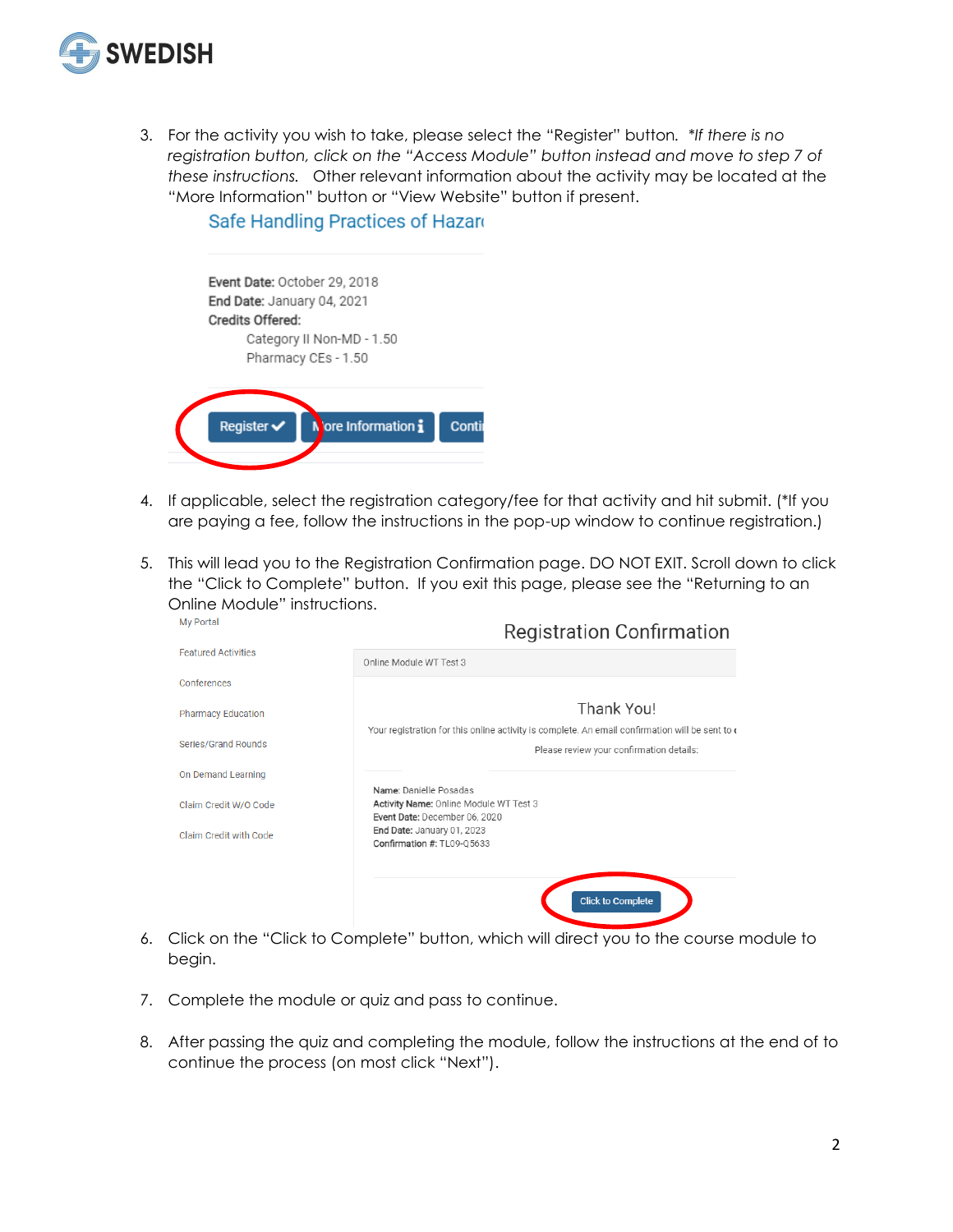

3. For the activity you wish to take, please select the "Register" button*. \*If there is no registration button, click on the "Access Module" button instead and move to step 7 of these instructions.* Other relevant information about the activity may be located at the "More Information" button or "View Website" button if present.

## Safe Handling Practices of Hazard

| Event Date: October 29, 2018<br>End Date: January 04, 2021<br>Credits Offered: | Category II Non-MD - 1.50<br>Pharmacy CEs - 1.50 |       |
|--------------------------------------------------------------------------------|--------------------------------------------------|-------|
| Register $\checkmark$                                                          | Nore Information i                               | Conti |

- 4. If applicable, select the registration category/fee for that activity and hit submit. (\*If you are paying a fee, follow the instructions in the pop-up window to continue registration.)
- 5. This will lead you to the Registration Confirmation page. DO NOT EXIT. Scroll down to click the "Click to Complete" button. If you exit this page, please see the "Returning to an Online Module" instructions. My Portal

| My Portal                  | <b>Registration Confirmation</b>                                                                                                            |
|----------------------------|---------------------------------------------------------------------------------------------------------------------------------------------|
| <b>Featured Activities</b> | Online Module WT Test 3                                                                                                                     |
| Conferences                |                                                                                                                                             |
| <b>Pharmacy Education</b>  | Thank You!                                                                                                                                  |
| <b>Series/Grand Rounds</b> | Your registration for this online activity is complete. An email confirmation will be sent to c<br>Please review your confirmation details: |
| On Demand Learning         |                                                                                                                                             |
| Claim Credit W/O Code      | Name: Danielle Posadas<br>Activity Name: Online Module WT Test 3<br>Event Date: December 06, 2020                                           |
| Claim Credit with Code     | End Date: January 01, 2023<br>Confirmation #: TL09-Q5633                                                                                    |
|                            |                                                                                                                                             |
|                            | <b>Click to Complete</b>                                                                                                                    |

- 6. Click on the "Click to Complete" button, which will direct you to the course module to begin.
- 7. Complete the module or quiz and pass to continue.
- 8. After passing the quiz and completing the module, follow the instructions at the end of to continue the process (on most click "Next").